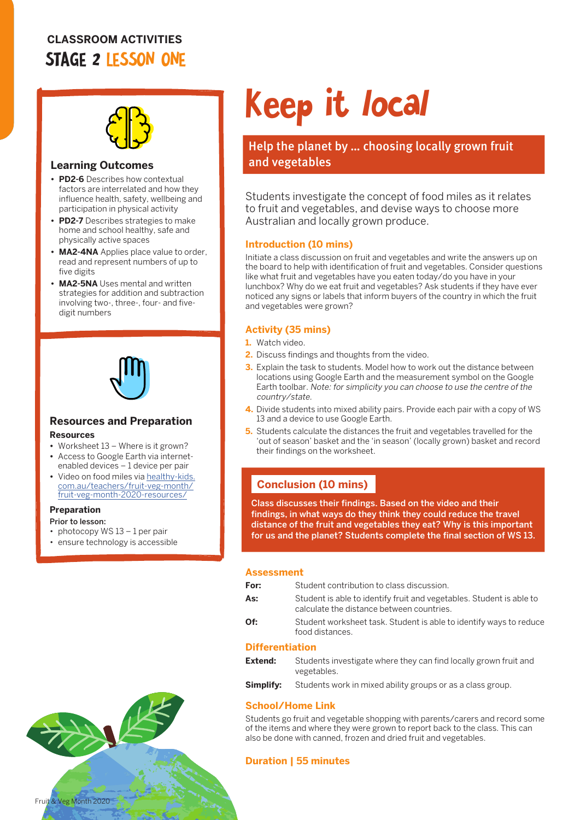## **CLASSROOM ACTIVITIES** STAGE 2 LESSON ONE



## **Learning Outcomes**

- **• PD2-6** Describes how contextual factors are interrelated and how they influence health, safety, wellbeing and participation in physical activity
- **• PD2-7** Describes strategies to make home and school healthy, safe and physically active spaces
- **• MA2-4NA** Applies place value to order, read and represent numbers of up to five digits
- **• MA2-5NA** Uses mental and written strategies for addition and subtraction involving two-, three-, four- and fivedigit numbers



# **Resources and Preparation**

#### **Resources**

- **•** Worksheet 13 Where is it grown?
- **•** Access to Google Earth via internetenabled devices – 1 device per pair
- **•** Video on food miles via [healthy-kids.](http://healthy-kids.com.au/teachers/fruit-veg-month/fruit-veg-month-2020-resources/) [com.au/teachers/fruit-veg-month/](http://healthy-kids.com.au/teachers/fruit-veg-month/fruit-veg-month-2020-resources/) [fruit-veg-month-2020-resources/](http://healthy-kids.com.au/teachers/fruit-veg-month/fruit-veg-month-2020-resources/)

#### **Preparation**

Prior to lesson:

- photocopy WS 13 1 per pair
- ensure technology is accessible

# Keep it local

Help the planet by ... choosing locally grown fruit and vegetables

Students investigate the concept of food miles as it relates to fruit and vegetables, and devise ways to choose more Australian and locally grown produce.

## **Introduction (10 mins)**

Initiate a class discussion on fruit and vegetables and write the answers up on the board to help with identification of fruit and vegetables. Consider questions like what fruit and vegetables have you eaten today/do you have in your lunchbox? Why do we eat fruit and vegetables? Ask students if they have ever noticed any signs or labels that inform buyers of the country in which the fruit and vegetables were grown?

## **Activity (35 mins)**

- **1.** Watch video.
- **2.** Discuss findings and thoughts from the video.
- **3.** Explain the task to students. Model how to work out the distance between locations using Google Earth and the measurement symbol on the Google Earth toolbar. Note: for simplicity you can choose to use the centre of the country/state.
- **4.** Divide students into mixed ability pairs. Provide each pair with a copy of WS 13 and a device to use Google Earth.
- **5.** Students calculate the distances the fruit and vegetables travelled for the 'out of season' basket and the 'in season' (locally grown) basket and record their findings on the worksheet.

## **Conclusion (10 mins)**

Class discusses their findings. Based on the video and their findings, in what ways do they think they could reduce the travel distance of the fruit and vegetables they eat? Why is this important for us and the planet? Students complete the final section of WS 13.

#### **Assessment**

| For:                   | Student contribution to class discussion.                                                                         |
|------------------------|-------------------------------------------------------------------------------------------------------------------|
| As:                    | Student is able to identify fruit and vegetables. Student is able to<br>calculate the distance between countries. |
| Of:                    | Student worksheet task. Student is able to identify ways to reduce<br>food distances.                             |
| <b>Differentiation</b> |                                                                                                                   |
| Extend:                | Students investigate where they can find locally grown fruit and                                                  |

## vegetables.

**Simplify:** Students work in mixed ability groups or as a class group.

## **School/Home Link**

Students go fruit and vegetable shopping with parents/carers and record some of the items and where they were grown to report back to the class. This can also be done with canned, frozen and dried fruit and vegetables.

## **Duration | 55 minutes**

Fruit & Veg Month 2020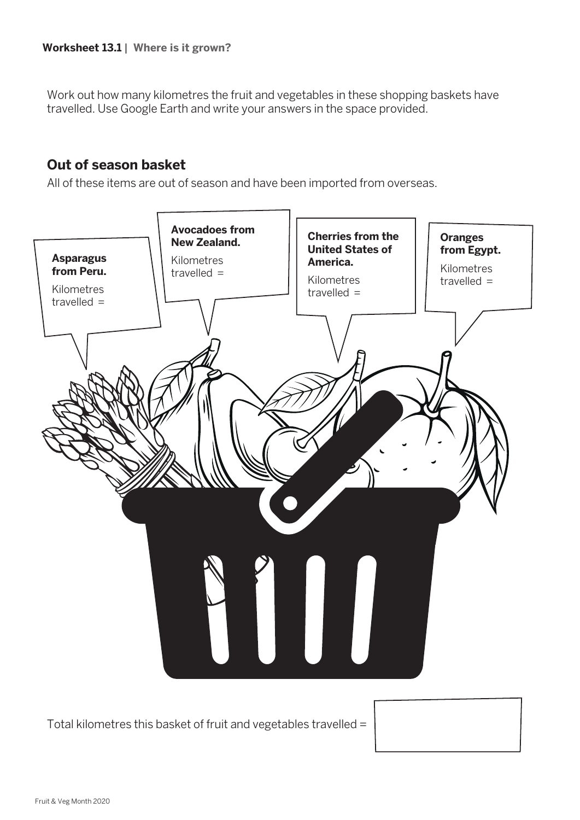Work out how many kilometres the fruit and vegetables in these shopping baskets have travelled. Use Google Earth and write your answers in the space provided.

## **Out of season basket**

All of these items are out of season and have been imported from overseas.



Total kilometres this basket of fruit and vegetables travelled =